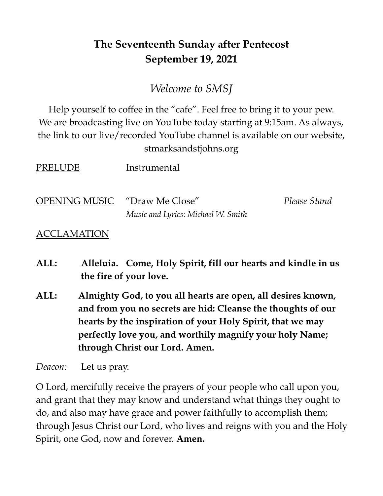# **The Seventeenth Sunday after Pentecost September 19, 2021**

*Welcome to SMSJ*

Help yourself to coffee in the "cafe". Feel free to bring it to your pew. We are broadcasting live on YouTube today starting at 9:15am. As always, the link to our live/recorded YouTube channel is available on our website, stmarksandstjohns.org

PRELUDE Instrumental OPENING MUSIC "Draw Me Close" *Please Stand Music and Lyrics: Michael W. Smith*

ACCLAMATION

- **ALL: Alleluia. Come, Holy Spirit, fill our hearts and kindle in us the fire of your love.**
- **ALL: Almighty God, to you all hearts are open, all desires known, and from you no secrets are hid: Cleanse the thoughts of our hearts by the inspiration of your Holy Spirit, that we may perfectly love you, and worthily magnify your holy Name; through Christ our Lord. Amen.**

*Deacon:* Let us pray.

O Lord, mercifully receive the prayers of your people who call upon you, and grant that they may know and understand what things they ought to do, and also may have grace and power faithfully to accomplish them; through Jesus Christ our Lord, who lives and reigns with you and the Holy Spirit, one God, now and forever. **Amen.**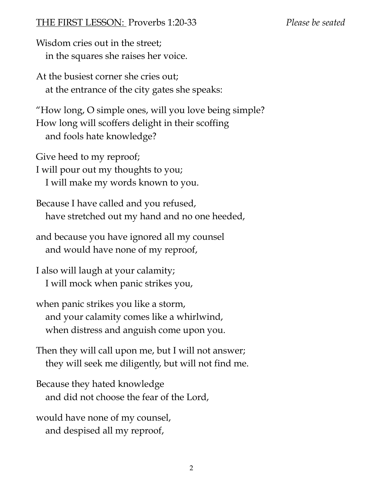Wisdom cries out in the street; in the squares she raises her voice.

At the busiest corner she cries out; at the entrance of the city gates she speaks:

"How long, O simple ones, will you love being simple? How long will scoffers delight in their scoffing and fools hate knowledge?

Give heed to my reproof; I will pour out my thoughts to you; I will make my words known to you.

Because I have called and you refused, have stretched out my hand and no one heeded,

and because you have ignored all my counsel and would have none of my reproof,

I also will laugh at your calamity; I will mock when panic strikes you,

when panic strikes you like a storm, and your calamity comes like a whirlwind, when distress and anguish come upon you.

Then they will call upon me, but I will not answer; they will seek me diligently, but will not find me.

Because they hated knowledge and did not choose the fear of the Lord,

would have none of my counsel, and despised all my reproof,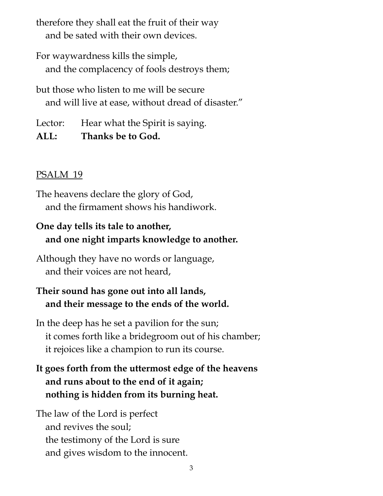therefore they shall eat the fruit of their way and be sated with their own devices.

For waywardness kills the simple, and the complacency of fools destroys them;

but those who listen to me will be secure and will live at ease, without dread of disaster."

Lector: Hear what the Spirit is saying. **ALL: Thanks be to God.**

#### <u>PSALM 19</u>

The heavens declare the glory of God, and the firmament shows his handiwork.

## **One day tells its tale to another, and one night imparts knowledge to another.**

Although they have no words or language, and their voices are not heard,

## **Their sound has gone out into all lands, and their message to the ends of the world.**

In the deep has he set a pavilion for the sun; it comes forth like a bridegroom out of his chamber; it rejoices like a champion to run its course.

## **It goes forth from the uttermost edge of the heavens and runs about to the end of it again; nothing is hidden from its burning heat.**

The law of the Lord is perfect and revives the soul; the testimony of the Lord is sure and gives wisdom to the innocent.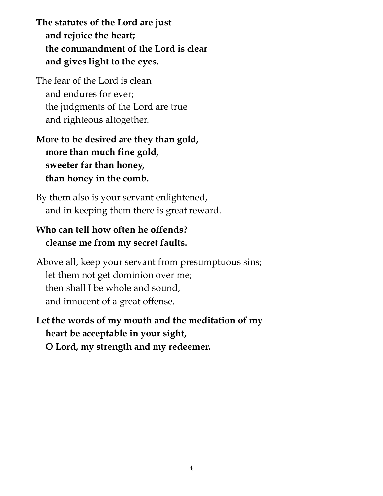**The statutes of the Lord are just and rejoice the heart; the commandment of the Lord is clear and gives light to the eyes.**

The fear of the Lord is clean and endures for ever; the judgments of the Lord are true and righteous altogether.

**More to be desired are they than gold, more than much fine gold, sweeter far than honey, than honey in the comb.**

By them also is your servant enlightened, and in keeping them there is great reward.

## **Who can tell how often he offends? cleanse me from my secret faults.**

Above all, keep your servant from presumptuous sins; let them not get dominion over me; then shall I be whole and sound, and innocent of a great offense.

**Let the words of my mouth and the meditation of my heart be acceptable in your sight, O Lord, my strength and my redeemer.**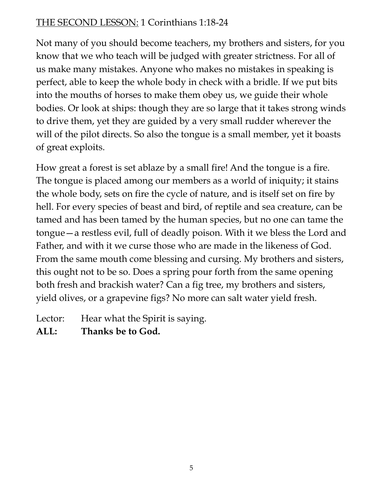## THE SECOND LESSON: 1 Corinthians 1:18-24

Not many of you should become teachers, my brothers and sisters, for you know that we who teach will be judged with greater strictness. For all of us make many mistakes. Anyone who makes no mistakes in speaking is perfect, able to keep the whole body in check with a bridle. If we put bits into the mouths of horses to make them obey us, we guide their whole bodies. Or look at ships: though they are so large that it takes strong winds to drive them, yet they are guided by a very small rudder wherever the will of the pilot directs. So also the tongue is a small member, yet it boasts of great exploits.

How great a forest is set ablaze by a small fire! And the tongue is a fire. The tongue is placed among our members as a world of iniquity; it stains the whole body, sets on fire the cycle of nature, and is itself set on fire by hell. For every species of beast and bird, of reptile and sea creature, can be tamed and has been tamed by the human species, but no one can tame the tongue—a restless evil, full of deadly poison. With it we bless the Lord and Father, and with it we curse those who are made in the likeness of God. From the same mouth come blessing and cursing. My brothers and sisters, this ought not to be so. Does a spring pour forth from the same opening both fresh and brackish water? Can a fig tree, my brothers and sisters, yield olives, or a grapevine figs? No more can salt water yield fresh.

- Lector: Hear what the Spirit is saying.
- **ALL: Thanks be to God.**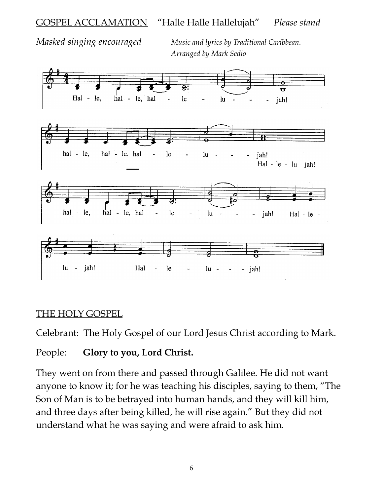### GOSPEL ACCLAMATION "Halle Halle Hallelujah" *Please stand*

*Masked singing encouraged Music and lyrics by Traditional Caribbean. Arranged by Mark Sedio*



### THE HOLY GOSPEL

Celebrant: The Holy Gospel of our Lord Jesus Christ according to Mark.

### People: **Glory to you, Lord Christ.**

They went on from there and passed through Galilee. He did not want anyone to know it; for he was teaching his disciples, saying to them, "The Son of Man is to be betrayed into human hands, and they will kill him, and three days after being killed, he will rise again." But they did not understand what he was saying and were afraid to ask him.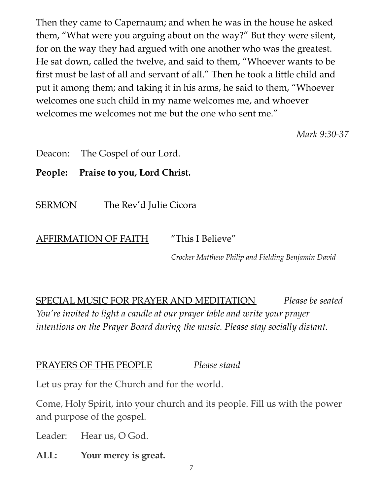Then they came to Capernaum; and when he was in the house he asked them, "What were you arguing about on the way?" But they were silent, for on the way they had argued with one another who was the greatest. He sat down, called the twelve, and said to them, "Whoever wants to be first must be last of all and servant of all." Then he took a little child and put it among them; and taking it in his arms, he said to them, "Whoever welcomes one such child in my name welcomes me, and whoever welcomes me welcomes not me but the one who sent me."

*Mark 9:30-37*

Deacon: The Gospel of our Lord.

**People: Praise to you, Lord Christ.**

SERMON The Rev'd Julie Cicora

#### AFFIRMATION OF FAITH "This I Believe"

*Crocker Matthew Philip and Fielding Benjamin David*

SPECIAL MUSIC FOR PRAYER AND MEDITATION *Please be seated You're invited to light a candle at our prayer table and write your prayer intentions on the Prayer Board during the music. Please stay socially distant.*

#### PRAYERS OF THE PEOPLE *Please stand*

Let us pray for the Church and for the world.

Come, Holy Spirit, into your church and its people. Fill us with the power and purpose of the gospel.

Leader: Hear us, O God.

**ALL: Your mercy is great.**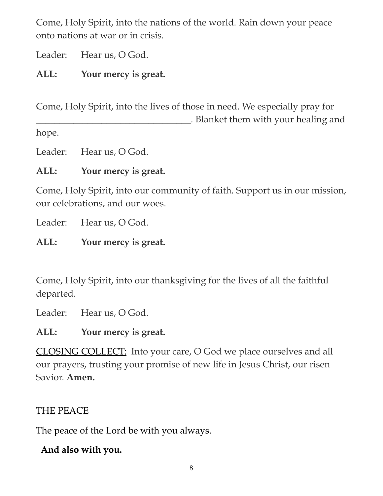Come, Holy Spirit, into the nations of the world. Rain down your peace onto nations at war or in crisis.

Leader: Hear us, O God.

## **ALL: Your mercy is great.**

Come, Holy Spirit, into the lives of those in need. We especially pray for \_\_\_\_\_\_\_\_\_\_\_\_\_\_\_\_\_\_\_\_\_\_\_\_\_\_\_\_\_\_\_\_\_. Blanket them with your healing and

hope.

Leader: Hear us, O God.

## **ALL: Your mercy is great.**

Come, Holy Spirit, into our community of faith. Support us in our mission, our celebrations, and our woes.

Leader: Hear us, O God.

**ALL: Your mercy is great.**

Come, Holy Spirit, into our thanksgiving for the lives of all the faithful departed.

Leader: Hear us, O God.

**ALL: Your mercy is great.**

CLOSING COLLECT: Into your care, O God we place ourselves and all our prayers, trusting your promise of new life in Jesus Christ, our risen Savior. **Amen.**

## THE PEACE

The peace of the Lord be with you always.

## **And also with you.**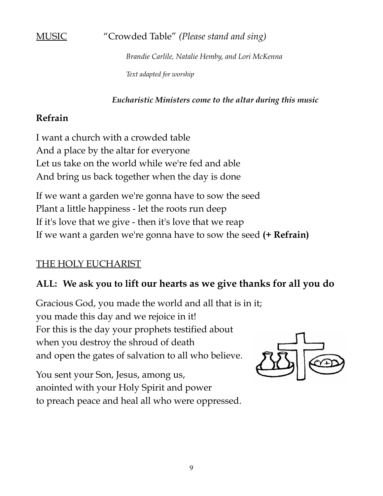MUSIC "Crowded Table" *(Please stand and sing)*

*Brandie Carlile, Natalie Hemby, and Lori McKenna Text adapted for worship*

*Eucharistic Ministers come to the altar during this music*

#### **Refrain**

I want a church with a crowded table And a place by the altar for everyone Let us take on the world while we're fed and able And bring us back together when the day is done

If we want a garden we're gonna have to sow the seed Plant a little happiness - let the roots run deep If it's love that we give - then it's love that we reap If we want a garden we're gonna have to sow the seed **(+ Refrain)**

### THE HOLY EUCHARIST

## **ALL: We ask you to lift our hearts as we give thanks for all you do**

Gracious God, you made the world and all that is in it; you made this day and we rejoice in it! For this is the day your prophets testified about when you destroy the shroud of death and open the gates of salvation to all who believe.

You sent your Son, Jesus, among us, anointed with your Holy Spirit and power to preach peace and heal all who were oppressed.

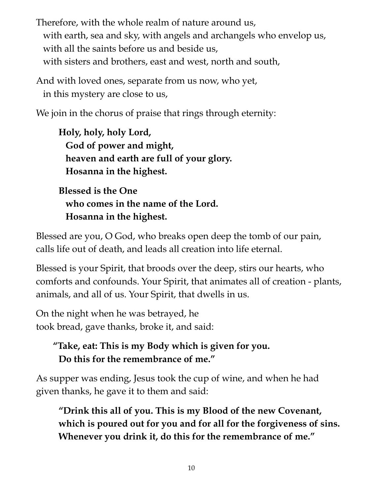Therefore, with the whole realm of nature around us, with earth, sea and sky, with angels and archangels who envelop us, with all the saints before us and beside us, with sisters and brothers, east and west, north and south,

And with loved ones, separate from us now, who yet, in this mystery are close to us,

We join in the chorus of praise that rings through eternity:

**Holy, holy, holy Lord, God of power and might, heaven and earth are full of your glory. Hosanna in the highest.**

**Blessed is the One who comes in the name of the Lord. Hosanna in the highest.**

Blessed are you, O God, who breaks open deep the tomb of our pain, calls life out of death, and leads all creation into life eternal.

Blessed is your Spirit, that broods over the deep, stirs our hearts, who comforts and confounds. Your Spirit, that animates all of creation - plants, animals, and all of us. Your Spirit, that dwells in us.

On the night when he was betrayed, he took bread, gave thanks, broke it, and said:

**"Take, eat: This is my Body which is given for you. Do this for the remembrance of me."**

As supper was ending, Jesus took the cup of wine, and when he had given thanks, he gave it to them and said:

**"Drink this all of you. This is my Blood of the new Covenant, which is poured out for you and for all for the forgiveness of sins. Whenever you drink it, do this for the remembrance of me."**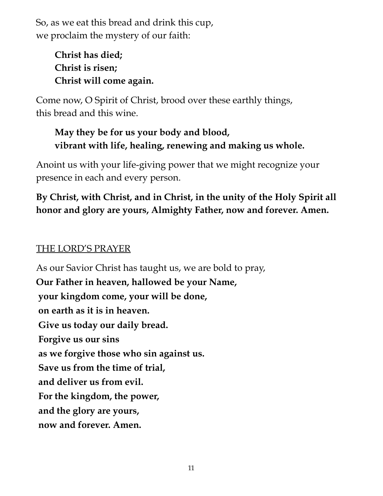So, as we eat this bread and drink this cup, we proclaim the mystery of our faith:

> **Christ has died; Christ is risen; Christ will come again.**

Come now, O Spirit of Christ, brood over these earthly things, this bread and this wine.

**May they be for us your body and blood, vibrant with life, healing, renewing and making us whole.**

Anoint us with your life-giving power that we might recognize your presence in each and every person.

**By Christ, with Christ, and in Christ, in the unity of the Holy Spirit all honor and glory are yours, Almighty Father, now and forever. Amen.**

## THE LORD'S PRAYER

As our Savior Christ has taught us, we are bold to pray, **Our Father in heaven, hallowed be your Name, your kingdom come, your will be done, on earth as it is in heaven. Give us today our daily bread. Forgive us our sins as we forgive those who sin against us. Save us from the time of trial, and deliver us from evil. For the kingdom, the power, and the glory are yours, now and forever. Amen.**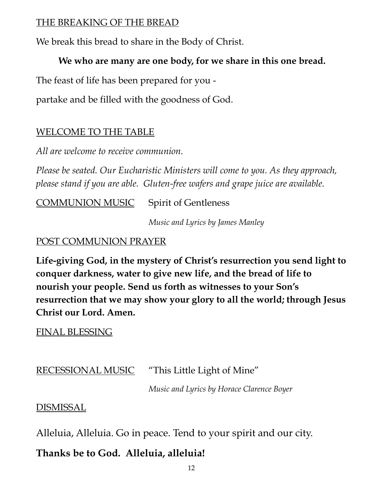### THE BREAKING OF THE BREAD

We break this bread to share in the Body of Christ.

### **We who are many are one body, for we share in this one bread.**

The feast of life has been prepared for you -

partake and be filled with the goodness of God.

## WELCOME TO THE TABLE

*All are welcome to receive communion.*

*Please be seated. Our Eucharistic Ministers will come to you. As they approach, please stand if you are able. Gluten-free wafers and grape juice are available.*

COMMUNION MUSIC Spirit of Gentleness

*Music and Lyrics by James Manley*

### POST COMMUNION PRAYER

**Life-giving God, in the mystery of Christ's resurrection you send light to conquer darkness, water to give new life, and the bread of life to nourish your people. Send us forth as witnesses to your Son's resurrection that we may show your glory to all the world; through Jesus Christ our Lord. Amen.**

### FINAL BLESSING

RECESSIONAL MUSIC "This Little Light of Mine"

*Music and Lyrics by Horace Clarence Boyer*

## **DISMISSAL**

Alleluia, Alleluia. Go in peace. Tend to your spirit and our city.

**Thanks be to God. Alleluia, alleluia!**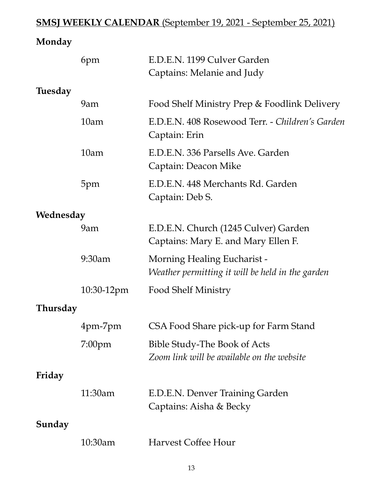# **SMSJ WEEKLY CALENDAR** (September 19, 2021 - September 25, 2021)

| Monday    |               |                                                                                 |
|-----------|---------------|---------------------------------------------------------------------------------|
|           | 6pm           | E.D.E.N. 1199 Culver Garden<br>Captains: Melanie and Judy                       |
| Tuesday   |               |                                                                                 |
|           | 9am           | Food Shelf Ministry Prep & Foodlink Delivery                                    |
|           | 10am          | E.D.E.N. 408 Rosewood Terr. - Children's Garden<br>Captain: Erin                |
|           | 10am          | E.D.E.N. 336 Parsells Ave. Garden<br>Captain: Deacon Mike                       |
|           | 5pm           | E.D.E.N. 448 Merchants Rd. Garden<br>Captain: Deb S.                            |
| Wednesday |               |                                                                                 |
|           | 9am           | E.D.E.N. Church (1245 Culver) Garden<br>Captains: Mary E. and Mary Ellen F.     |
|           | 9:30am        | Morning Healing Eucharist -<br>Weather permitting it will be held in the garden |
|           | $10:30-12$ pm | Food Shelf Ministry                                                             |
| Thursday  |               |                                                                                 |
|           | $4pm-7pm$     | CSA Food Share pick-up for Farm Stand                                           |
|           | $7:00$ pm     | Bible Study-The Book of Acts<br>Zoom link will be available on the website      |
| Friday    |               |                                                                                 |
|           | 11:30am       | E.D.E.N. Denver Training Garden<br>Captains: Aisha & Becky                      |
| Sunday    |               |                                                                                 |
|           | $10:30$ am    | <b>Harvest Coffee Hour</b>                                                      |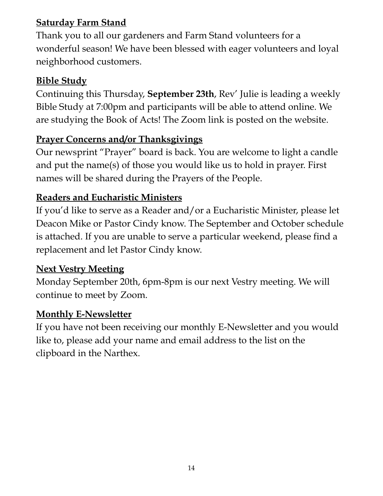## **Saturday Farm Stand**

Thank you to all our gardeners and Farm Stand volunteers for a wonderful season! We have been blessed with eager volunteers and loyal neighborhood customers.

### **Bible Study**

Continuing this Thursday, **September 23th**, Rev' Julie is leading a weekly Bible Study at 7:00pm and participants will be able to attend online. We are studying the Book of Acts! The Zoom link is posted on the website.

## **Prayer Concerns and/or Thanksgivings**

Our newsprint "Prayer" board is back. You are welcome to light a candle and put the name(s) of those you would like us to hold in prayer. First names will be shared during the Prayers of the People.

## **Readers and Eucharistic Ministers**

If you'd like to serve as a Reader and/or a Eucharistic Minister, please let Deacon Mike or Pastor Cindy know. The September and October schedule is attached. If you are unable to serve a particular weekend, please find a replacement and let Pastor Cindy know.

### **Next Vestry Meeting**

Monday September 20th, 6pm-8pm is our next Vestry meeting. We will continue to meet by Zoom.

### **Monthly E-Newsletter**

If you have not been receiving our monthly E-Newsletter and you would like to, please add your name and email address to the list on the clipboard in the Narthex.